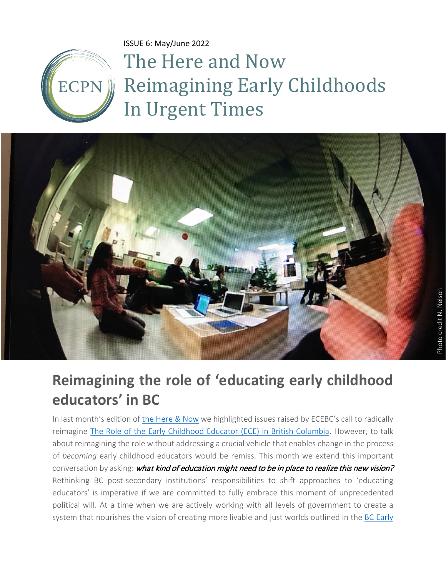ISSUE 6: May/June 2022



The Here and Now Reimagining Early Childhoods In Urgent Times



## **Reimagining the role of 'educating early childhood educators' in BC**

In last month's edition of [the Here & Now](https://www.ecpn.ca/application/files/3616/5040/2761/ISSUE_5.pdf) we highlighted issues raised by ECEBC's call to radically reimagine [The Role of the Early Childhood Educator \(ECE\) in British Columbia.](https://www.ecebc.ca/application/files/5716/4617/5189/Position_Paper_-_The_Rorcrbc%20poste_of_the_Early_Childhood_Educator_in_British_Columbia_rev.0226.pdf) However, to talk about reimagining the role without addressing a crucial vehicle that enables change in the process of *becoming* early childhood educators would be remiss. This month we extend this important conversation by asking: what kind of education might need to be in place to realize this new vision? Rethinking BC post-secondary institutions' responsibilities to shift approaches to 'educating educators' is imperative if we are committed to fully embrace this moment of unprecedented political will. At a time when we are actively working with all levels of government to create a system that nourishes the vision of creating more livable and just worlds outlined in the [BC Early](https://www2.gov.bc.ca/gov/content/education-training/early-learning/teach/early-learning-framework)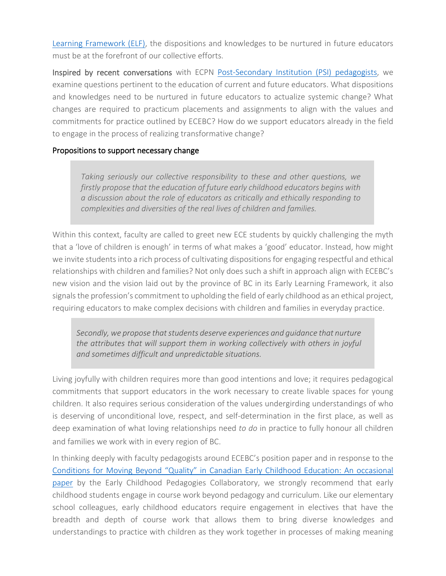[Learning Framework](https://www2.gov.bc.ca/gov/content/education-training/early-learning/teach/early-learning-framework) (ELF), the dispositions and knowledges to be nurtured in future educators must be at the forefront of our collective efforts.

Inspired by recent conversations with ECPN [Post-Secondary Institution](https://www.ecpn.ca/network/pedagogists/post-secondary-stream) (PSI) pedagogists, we examine questions pertinent to the education of current and future educators. What dispositions and knowledges need to be nurtured in future educators to actualize systemic change? What changes are required to practicum placements and assignments to align with the values and commitments for practice outlined by ECEBC? How do we support educators already in the field to engage in the process of realizing transformative change?

## Propositions to support necessary change

*Taking seriously our collective responsibility to these and other questions, we firstly propose that the education of future early childhood educators begins with a discussion about the role of educators as critically and ethically responding to complexities and diversities of the real lives of children and families.*

Within this context, faculty are called to greet new ECE students by quickly challenging the myth that a 'love of children is enough' in terms of what makes a 'good' educator. Instead, how might we invite students into a rich process of cultivating dispositions for engaging respectful and ethical relationships with children and families? Not only does such a shift in approach align with ECEBC's new vision and the vision laid out by the province of BC in its Early Learning Framework, it also signals the profession's commitment to upholding the field of early childhood as an ethical project, requiring educators to make complex decisions with children and families in everyday practice.

*Secondly, we propose that students deserve experiences and guidance that nurture the attributes that will support them in working collectively with others in joyful and sometimes difficult and unpredictable situations.*

Living joyfully with children requires more than good intentions and love; it requires pedagogical commitments that support educators in the work necessary to create livable spaces for young children. It also requires serious consideration of the values undergirding understandings of who is deserving of unconditional love, respect, and self-determination in the first place, as well as deep examination of what loving relationships need *to do* in practice to fully honour all children and families we work with in every region of BC.

In thinking deeply with faculty pedagogists around ECEBC's position paper and in response to the [Conditions for Moving Beyond "Quality" in Canadian Early Childhood Education: An occasional](https://www.earlychildhoodcollaboratory.net/conditions-for-moving-beyond-quality-in-canadian-early-childhood-education)  [paper](https://www.earlychildhoodcollaboratory.net/conditions-for-moving-beyond-quality-in-canadian-early-childhood-education) by the Early Childhood Pedagogies Collaboratory, we strongly recommend that early childhood students engage in course work beyond pedagogy and curriculum. Like our elementary school colleagues, early childhood educators require engagement in electives that have the breadth and depth of course work that allows them to bring diverse knowledges and understandings to practice with children as they work together in processes of making meaning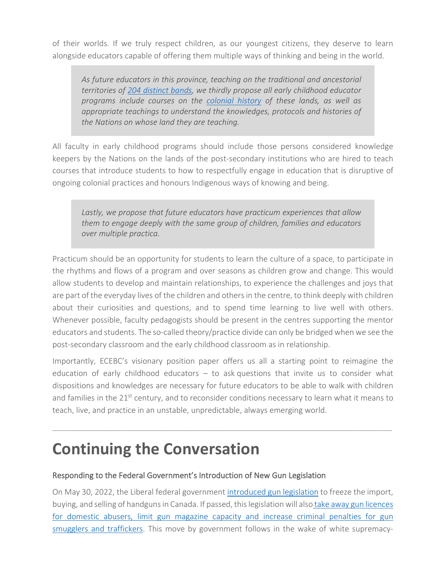of their worlds. If we truly respect children, as our youngest citizens, they deserve to learn alongside educators capable of offering them multiple ways of thinking and being in the world.

*As future educators in this province, teaching on the traditional and ancestorial territories of 204 [distinct bands,](https://www2.gov.bc.ca/gov/content/justice/criminal-justice/bcs-criminal-justice-system/understanding-criminal-justice/indigenous-justice/communities#:%7E:text=B.C.%20has%20the%20highest%20number,see%20them%20used%20that%20way) we thirdly propose all early childhood educator programs include courses on the [colonial history](https://bc.ctvnews.ca/too-many-children-did-not-make-it-home-anniversary-of-discovery-at-canada-s-largest-residential-school-1.5915021) of these lands, as well as appropriate teachings to understand the knowledges, protocols and histories of the Nations on whose land they are teaching.* 

All faculty in early childhood programs should include those persons considered knowledge keepers by the Nations on the lands of the post-secondary institutions who are hired to teach courses that introduce students to how to respectfully engage in education that is disruptive of ongoing colonial practices and honours Indigenous ways of knowing and being.

*Lastly, we propose that future educators have practicum experiences that allow them to engage deeply with the same group of children, families and educators over multiple practica.* 

Practicum should be an opportunity for students to learn the culture of a space, to participate in the rhythms and flows of a program and over seasons as children grow and change. This would allow students to develop and maintain relationships, to experience the challenges and joys that are part of the everyday lives of the children and others in the centre, to think deeply with children about their curiosities and questions, and to spend time learning to live well with others. Whenever possible, faculty pedagogists should be present in the centres supporting the mentor educators and students. The so-called theory/practice divide can only be bridged when we see the post-secondary classroom and the early childhood classroom as in relationship.

Importantly, ECEBC's visionary position paper offers us all a starting point to reimagine the education of early childhood educators – to ask questions that invite us to consider what dispositions and knowledges are necessary for future educators to be able to walk with children and families in the 21<sup>st</sup> century, and to reconsider conditions necessary to learn what it means to teach, live, and practice in an unstable, unpredictable, always emerging world.

\_\_\_\_\_\_\_\_\_\_\_\_\_\_\_\_\_\_\_\_\_\_\_\_\_\_\_\_\_\_\_\_\_\_\_\_\_\_\_\_\_\_\_\_\_\_\_\_\_\_\_\_\_\_\_\_\_\_\_\_\_\_\_\_\_\_\_\_\_\_\_\_\_\_\_\_\_\_

## **Continuing the Conversation**

## Responding to the Federal Government's Introduction of New Gun Legislation

On May 30, 2022, the Liberal federal government [introduced gun legislation](https://twitter.com/i/events/1531417867811336193) to freeze the import, buying, and selling of handguns in Canada. If passed, this legislation will also [take away gun licences](https://twitter.com/i/events/1531417867811336193)  [for domestic abusers, limit gun magazine capacity and increase criminal penalties for gun](https://twitter.com/i/events/1531417867811336193)  [smugglers and traffickers.](https://twitter.com/i/events/1531417867811336193) This move by government follows in the wake of white supremacy-